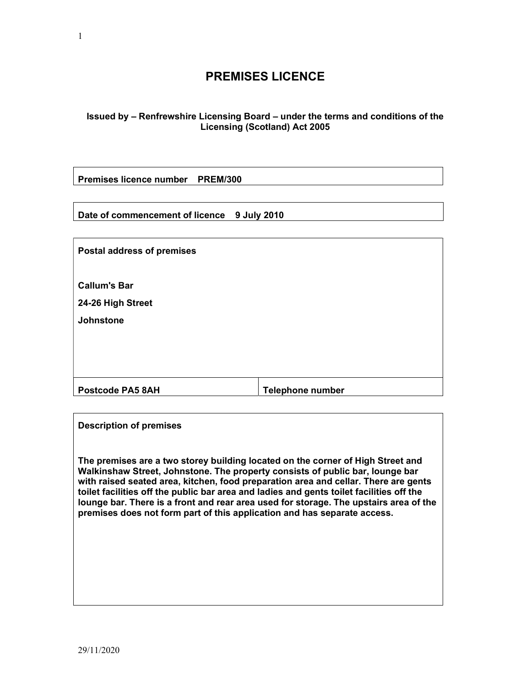# PREMISES LICENCE

# Issued by – Renfrewshire Licensing Board – under the terms and conditions of the Licensing (Scotland) Act 2005

Premises licence number PREM/300

Date of commencement of licence 9 July 2010

| <b>Postal address of premises</b> |                         |
|-----------------------------------|-------------------------|
| <b>Callum's Bar</b>               |                         |
| 24-26 High Street                 |                         |
| <b>Johnstone</b>                  |                         |
|                                   |                         |
|                                   |                         |
|                                   |                         |
| <b>Postcode PA5 8AH</b>           | <b>Telephone number</b> |

| <b>Description of premises</b>                                                                                                                                                                                                                                                                                                                                                                                                                                                                                           |
|--------------------------------------------------------------------------------------------------------------------------------------------------------------------------------------------------------------------------------------------------------------------------------------------------------------------------------------------------------------------------------------------------------------------------------------------------------------------------------------------------------------------------|
| The premises are a two storey building located on the corner of High Street and<br>Walkinshaw Street, Johnstone. The property consists of public bar, lounge bar<br>with raised seated area, kitchen, food preparation area and cellar. There are gents<br>toilet facilities off the public bar area and ladies and gents toilet facilities off the<br>lounge bar. There is a front and rear area used for storage. The upstairs area of the<br>premises does not form part of this application and has separate access. |
|                                                                                                                                                                                                                                                                                                                                                                                                                                                                                                                          |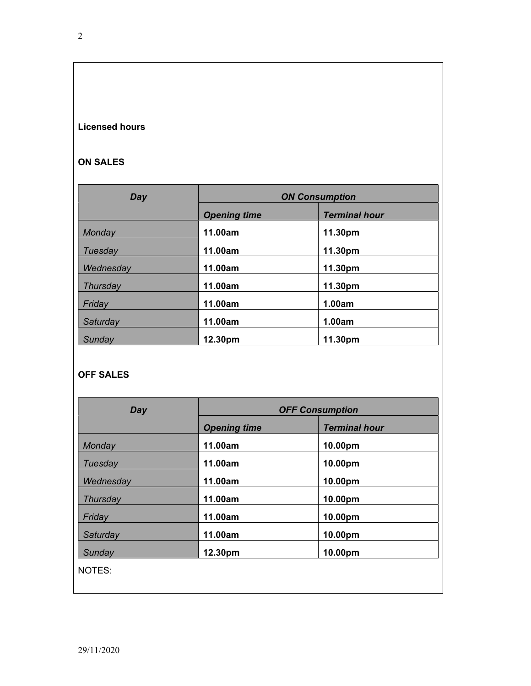# Licensed hours

# ON SALES

| Day       | <b>ON Consumption</b>                       |        |  |
|-----------|---------------------------------------------|--------|--|
|           | <b>Terminal hour</b><br><b>Opening time</b> |        |  |
| Monday    | 11.00am<br>11.30pm                          |        |  |
| Tuesday   | 11.00am<br>11.30pm                          |        |  |
| Wednesday | 11.00am<br>11.30pm                          |        |  |
| Thursday  | 11.00am<br>11.30pm                          |        |  |
| Friday    | 11.00am<br>1.00am                           |        |  |
| Saturday  | 11.00am                                     | 1.00am |  |
| Sunday    | 11.30pm<br>12.30pm                          |        |  |

# OFF SALES

| Day       | <b>OFF Consumption</b>                      |         |  |
|-----------|---------------------------------------------|---------|--|
|           | <b>Terminal hour</b><br><b>Opening time</b> |         |  |
| Monday    | 11.00am                                     | 10.00pm |  |
| Tuesday   | 11.00am                                     | 10.00pm |  |
| Wednesday | 11.00am                                     | 10.00pm |  |
| Thursday  | 11.00am                                     | 10.00pm |  |
| Friday    | 11.00am                                     | 10.00pm |  |
| Saturday  | 11.00am                                     | 10.00pm |  |
| Sunday    | 12.30pm                                     | 10.00pm |  |
| NOTES:    |                                             |         |  |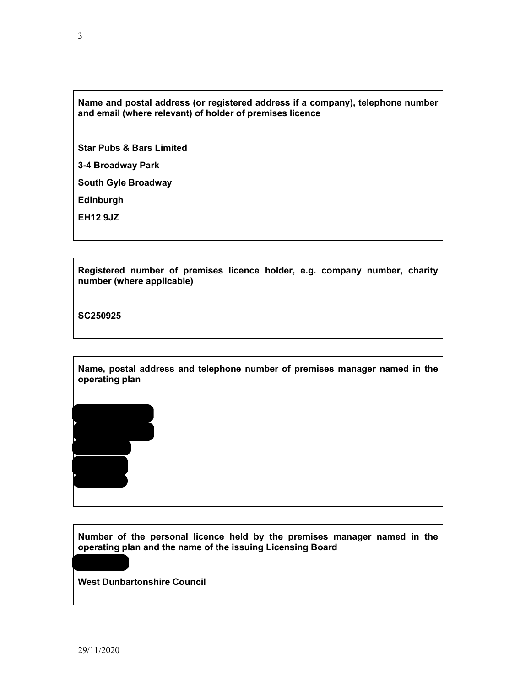# Name and postal address (or registered address if a company), telephone number and email (where relevant) of holder of premises licence

Star Pubs & Bars Limited

3-4 Broadway Park

South Gyle Broadway

Edinburgh

EH12 9JZ

Registered number of premises licence holder, e.g. company number, charity number (where applicable)

SC250925

Name, postal address and telephone number of premises manager named in the operating plan

FK8 3NE

Number of the personal licence held by the premises manager named in the operating plan and the name of the issuing Licensing Board

West Dunbartonshire Council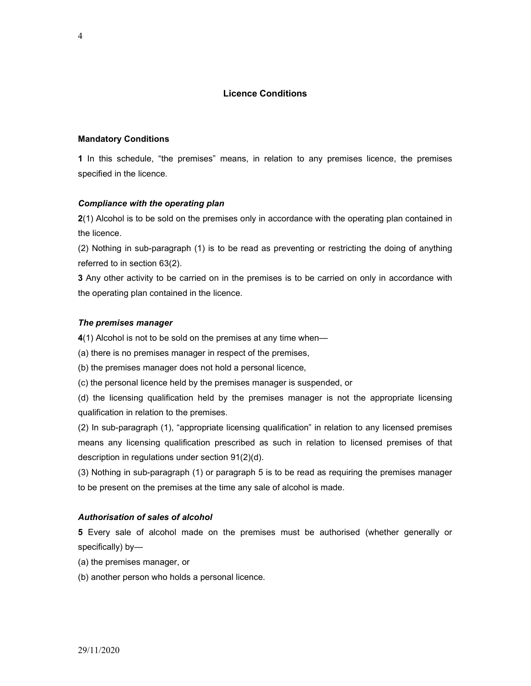### Licence Conditions

#### Mandatory Conditions

1 In this schedule, "the premises" means, in relation to any premises licence, the premises specified in the licence.

#### Compliance with the operating plan

2(1) Alcohol is to be sold on the premises only in accordance with the operating plan contained in the licence.

(2) Nothing in sub-paragraph (1) is to be read as preventing or restricting the doing of anything referred to in section 63(2).

**3** Any other activity to be carried on in the premises is to be carried on only in accordance with the operating plan contained in the licence.

#### The premises manager

4(1) Alcohol is not to be sold on the premises at any time when-

(a) there is no premises manager in respect of the premises,

(b) the premises manager does not hold a personal licence,

(c) the personal licence held by the premises manager is suspended, or

(d) the licensing qualification held by the premises manager is not the appropriate licensing qualification in relation to the premises.

(2) In sub-paragraph (1), "appropriate licensing qualification" in relation to any licensed premises means any licensing qualification prescribed as such in relation to licensed premises of that description in regulations under section 91(2)(d).

(3) Nothing in sub-paragraph (1) or paragraph 5 is to be read as requiring the premises manager to be present on the premises at the time any sale of alcohol is made.

#### Authorisation of sales of alcohol

5 Every sale of alcohol made on the premises must be authorised (whether generally or specifically) by—

(a) the premises manager, or

(b) another person who holds a personal licence.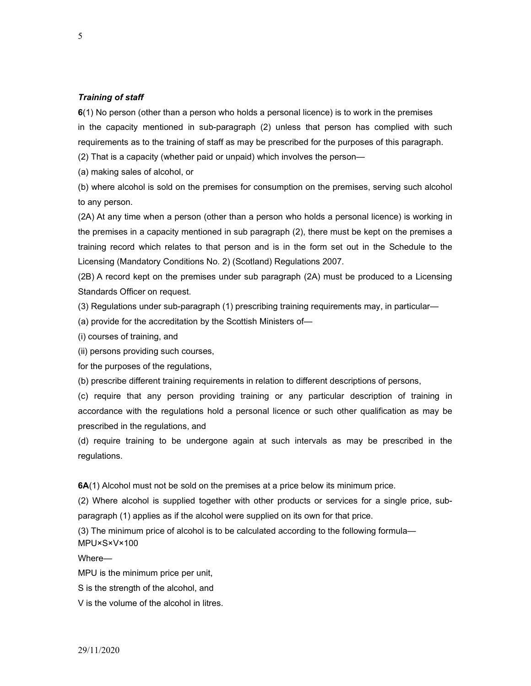#### Training of staff

6(1) No person (other than a person who holds a personal licence) is to work in the premises in the capacity mentioned in sub-paragraph (2) unless that person has complied with such requirements as to the training of staff as may be prescribed for the purposes of this paragraph.

(2) That is a capacity (whether paid or unpaid) which involves the person—

(a) making sales of alcohol, or

(b) where alcohol is sold on the premises for consumption on the premises, serving such alcohol to any person.

(2A) At any time when a person (other than a person who holds a personal licence) is working in the premises in a capacity mentioned in sub paragraph (2), there must be kept on the premises a training record which relates to that person and is in the form set out in the Schedule to the Licensing (Mandatory Conditions No. 2) (Scotland) Regulations 2007.

(2B) A record kept on the premises under sub paragraph (2A) must be produced to a Licensing Standards Officer on request.

(3) Regulations under sub-paragraph (1) prescribing training requirements may, in particular—

(a) provide for the accreditation by the Scottish Ministers of—

(i) courses of training, and

(ii) persons providing such courses,

for the purposes of the regulations,

(b) prescribe different training requirements in relation to different descriptions of persons,

(c) require that any person providing training or any particular description of training in accordance with the regulations hold a personal licence or such other qualification as may be prescribed in the regulations, and

(d) require training to be undergone again at such intervals as may be prescribed in the regulations.

6A(1) Alcohol must not be sold on the premises at a price below its minimum price.

(2) Where alcohol is supplied together with other products or services for a single price, subparagraph (1) applies as if the alcohol were supplied on its own for that price.

(3) The minimum price of alcohol is to be calculated according to the following formula— MPU×S×V×100

Where—

MPU is the minimum price per unit,

S is the strength of the alcohol, and

V is the volume of the alcohol in litres.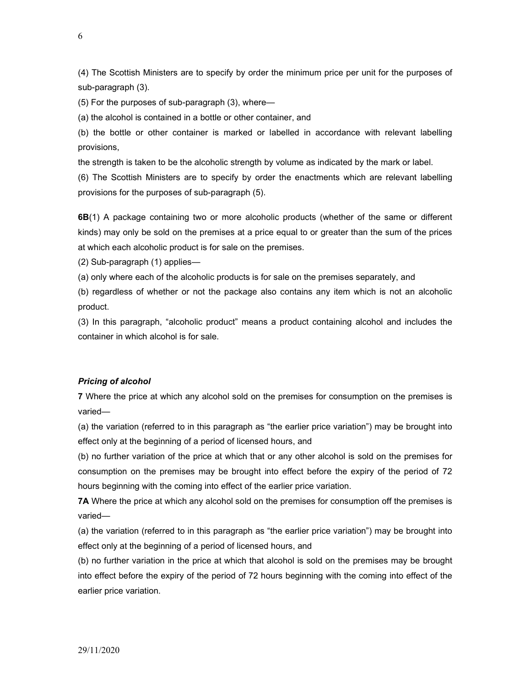(4) The Scottish Ministers are to specify by order the minimum price per unit for the purposes of sub-paragraph (3).

(5) For the purposes of sub-paragraph (3), where—

(a) the alcohol is contained in a bottle or other container, and

(b) the bottle or other container is marked or labelled in accordance with relevant labelling provisions,

the strength is taken to be the alcoholic strength by volume as indicated by the mark or label.

(6) The Scottish Ministers are to specify by order the enactments which are relevant labelling provisions for the purposes of sub-paragraph (5).

6B(1) A package containing two or more alcoholic products (whether of the same or different kinds) may only be sold on the premises at a price equal to or greater than the sum of the prices at which each alcoholic product is for sale on the premises.

(2) Sub-paragraph (1) applies—

(a) only where each of the alcoholic products is for sale on the premises separately, and

(b) regardless of whether or not the package also contains any item which is not an alcoholic product.

(3) In this paragraph, "alcoholic product" means a product containing alcohol and includes the container in which alcohol is for sale.

## Pricing of alcohol

7 Where the price at which any alcohol sold on the premises for consumption on the premises is varied—

(a) the variation (referred to in this paragraph as "the earlier price variation") may be brought into effect only at the beginning of a period of licensed hours, and

(b) no further variation of the price at which that or any other alcohol is sold on the premises for consumption on the premises may be brought into effect before the expiry of the period of 72 hours beginning with the coming into effect of the earlier price variation.

7A Where the price at which any alcohol sold on the premises for consumption off the premises is varied—

(a) the variation (referred to in this paragraph as "the earlier price variation") may be brought into effect only at the beginning of a period of licensed hours, and

(b) no further variation in the price at which that alcohol is sold on the premises may be brought into effect before the expiry of the period of 72 hours beginning with the coming into effect of the earlier price variation.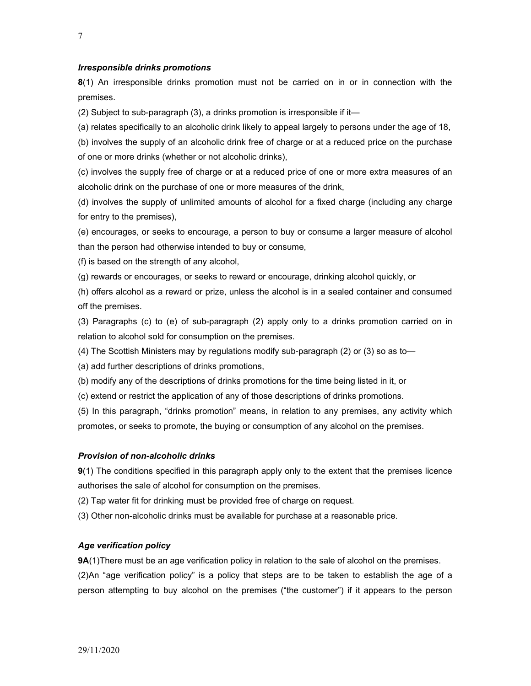#### Irresponsible drinks promotions

8(1) An irresponsible drinks promotion must not be carried on in or in connection with the premises.

(2) Subject to sub-paragraph (3), a drinks promotion is irresponsible if it—

(a) relates specifically to an alcoholic drink likely to appeal largely to persons under the age of 18,

(b) involves the supply of an alcoholic drink free of charge or at a reduced price on the purchase of one or more drinks (whether or not alcoholic drinks),

(c) involves the supply free of charge or at a reduced price of one or more extra measures of an alcoholic drink on the purchase of one or more measures of the drink,

(d) involves the supply of unlimited amounts of alcohol for a fixed charge (including any charge for entry to the premises),

(e) encourages, or seeks to encourage, a person to buy or consume a larger measure of alcohol than the person had otherwise intended to buy or consume,

(f) is based on the strength of any alcohol,

(g) rewards or encourages, or seeks to reward or encourage, drinking alcohol quickly, or

(h) offers alcohol as a reward or prize, unless the alcohol is in a sealed container and consumed off the premises.

(3) Paragraphs (c) to (e) of sub-paragraph (2) apply only to a drinks promotion carried on in relation to alcohol sold for consumption on the premises.

(4) The Scottish Ministers may by regulations modify sub-paragraph (2) or (3) so as to—

(a) add further descriptions of drinks promotions,

(b) modify any of the descriptions of drinks promotions for the time being listed in it, or

(c) extend or restrict the application of any of those descriptions of drinks promotions.

(5) In this paragraph, "drinks promotion" means, in relation to any premises, any activity which promotes, or seeks to promote, the buying or consumption of any alcohol on the premises.

#### Provision of non-alcoholic drinks

9(1) The conditions specified in this paragraph apply only to the extent that the premises licence authorises the sale of alcohol for consumption on the premises.

(2) Tap water fit for drinking must be provided free of charge on request.

(3) Other non-alcoholic drinks must be available for purchase at a reasonable price.

#### Age verification policy

**9A**(1)There must be an age verification policy in relation to the sale of alcohol on the premises.

(2)An "age verification policy" is a policy that steps are to be taken to establish the age of a person attempting to buy alcohol on the premises ("the customer") if it appears to the person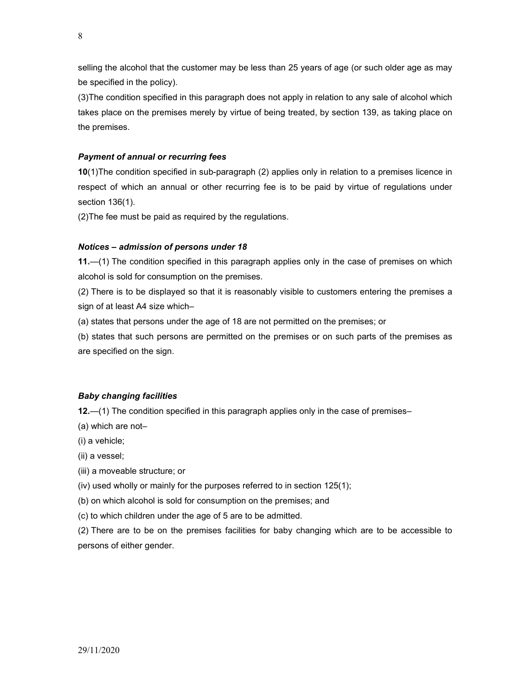selling the alcohol that the customer may be less than 25 years of age (or such older age as may be specified in the policy).

(3)The condition specified in this paragraph does not apply in relation to any sale of alcohol which takes place on the premises merely by virtue of being treated, by section 139, as taking place on the premises.

# Payment of annual or recurring fees

10(1)The condition specified in sub-paragraph (2) applies only in relation to a premises licence in respect of which an annual or other recurring fee is to be paid by virtue of regulations under section 136(1).

(2)The fee must be paid as required by the regulations.

### Notices – admission of persons under 18

11.—(1) The condition specified in this paragraph applies only in the case of premises on which alcohol is sold for consumption on the premises.

(2) There is to be displayed so that it is reasonably visible to customers entering the premises a sign of at least A4 size which–

(a) states that persons under the age of 18 are not permitted on the premises; or

(b) states that such persons are permitted on the premises or on such parts of the premises as are specified on the sign.

## Baby changing facilities

12.—(1) The condition specified in this paragraph applies only in the case of premises–

(a) which are not–

(i) a vehicle;

(ii) a vessel;

(iii) a moveable structure; or

(iv) used wholly or mainly for the purposes referred to in section 125(1);

(b) on which alcohol is sold for consumption on the premises; and

(c) to which children under the age of 5 are to be admitted.

(2) There are to be on the premises facilities for baby changing which are to be accessible to persons of either gender.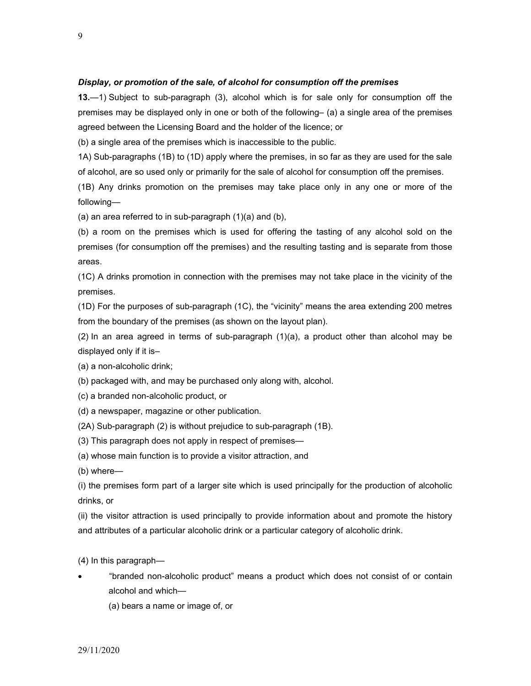#### Display, or promotion of the sale, of alcohol for consumption off the premises

13.—1) Subject to sub-paragraph (3), alcohol which is for sale only for consumption off the premises may be displayed only in one or both of the following– (a) a single area of the premises agreed between the Licensing Board and the holder of the licence; or

(b) a single area of the premises which is inaccessible to the public.

1A) Sub-paragraphs (1B) to (1D) apply where the premises, in so far as they are used for the sale of alcohol, are so used only or primarily for the sale of alcohol for consumption off the premises.

(1B) Any drinks promotion on the premises may take place only in any one or more of the following—

(a) an area referred to in sub-paragraph (1)(a) and (b),

(b) a room on the premises which is used for offering the tasting of any alcohol sold on the premises (for consumption off the premises) and the resulting tasting and is separate from those areas.

(1C) A drinks promotion in connection with the premises may not take place in the vicinity of the premises.

(1D) For the purposes of sub-paragraph (1C), the "vicinity" means the area extending 200 metres from the boundary of the premises (as shown on the layout plan).

(2) In an area agreed in terms of sub-paragraph (1)(a), a product other than alcohol may be displayed only if it is–

(a) a non-alcoholic drink;

(b) packaged with, and may be purchased only along with, alcohol.

(c) a branded non-alcoholic product, or

(d) a newspaper, magazine or other publication.

(2A) Sub-paragraph (2) is without prejudice to sub-paragraph (1B).

(3) This paragraph does not apply in respect of premises—

(a) whose main function is to provide a visitor attraction, and

(b) where—

(i) the premises form part of a larger site which is used principally for the production of alcoholic drinks, or

(ii) the visitor attraction is used principally to provide information about and promote the history and attributes of a particular alcoholic drink or a particular category of alcoholic drink.

(4) In this paragraph—

 "branded non-alcoholic product" means a product which does not consist of or contain alcohol and which—

(a) bears a name or image of, or

9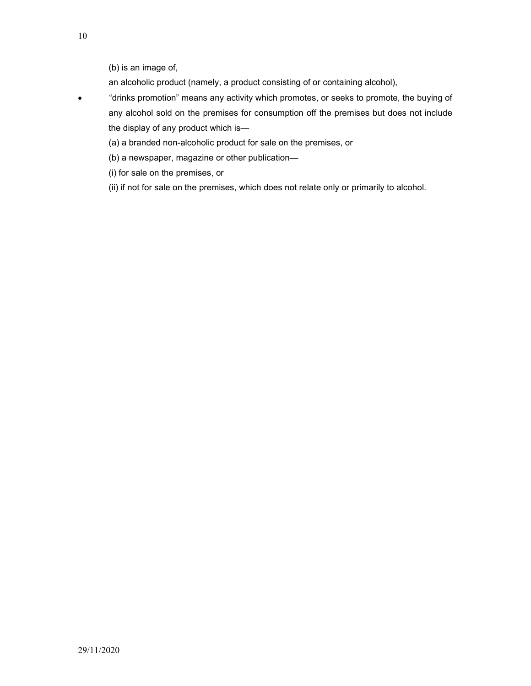an alcoholic product (namely, a product consisting of or containing alcohol),

- "drinks promotion" means any activity which promotes, or seeks to promote, the buying of any alcohol sold on the premises for consumption off the premises but does not include the display of any product which is—
	- (a) a branded non-alcoholic product for sale on the premises, or
	- (b) a newspaper, magazine or other publication—
	- (i) for sale on the premises, or
	- (ii) if not for sale on the premises, which does not relate only or primarily to alcohol.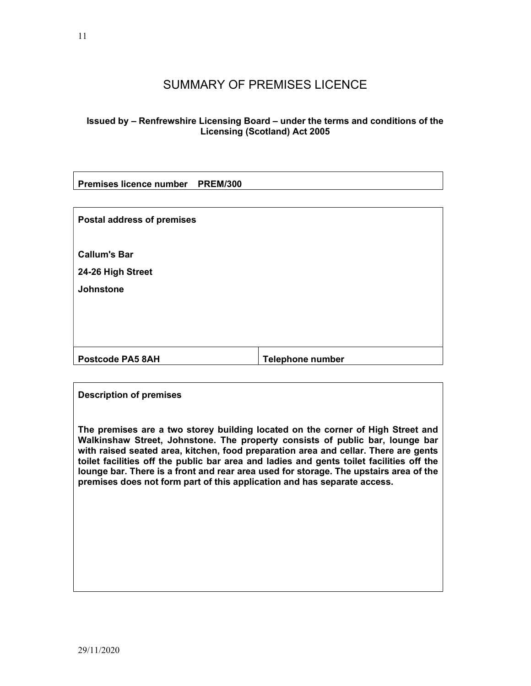# SUMMARY OF PREMISES LICENCE

# Issued by – Renfrewshire Licensing Board – under the terms and conditions of the Licensing (Scotland) Act 2005

| Premises licence number PREM/300 |  |
|----------------------------------|--|
|----------------------------------|--|

| <b>Postal address of premises</b>        |                         |
|------------------------------------------|-------------------------|
| <b>Callum's Bar</b><br>24-26 High Street |                         |
| <b>Johnstone</b>                         |                         |
|                                          |                         |
| <b>Postcode PA5 8AH</b>                  | <b>Telephone number</b> |

# Description of premises

The premises are a two storey building located on the corner of High Street and Walkinshaw Street, Johnstone. The property consists of public bar, lounge bar with raised seated area, kitchen, food preparation area and cellar. There are gents toilet facilities off the public bar area and ladies and gents toilet facilities off the lounge bar. There is a front and rear area used for storage. The upstairs area of the premises does not form part of this application and has separate access.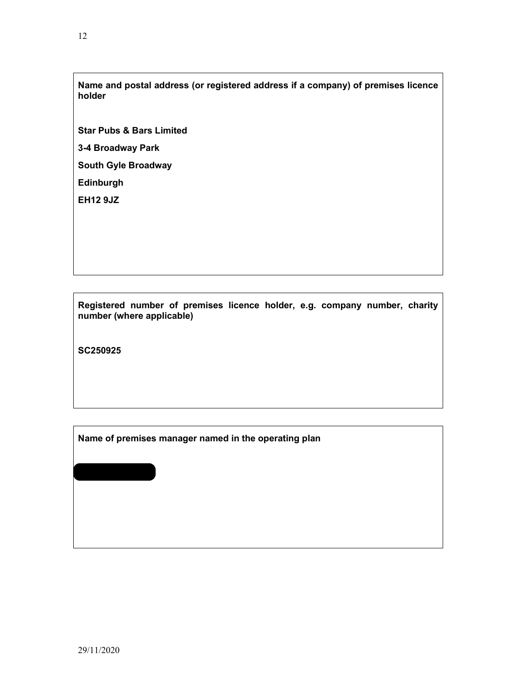Name and postal address (or registered address if a company) of premises licence holder

Star Pubs & Bars Limited

3-4 Broadway Park

South Gyle Broadway

Edinburgh

EH12 9JZ

Registered number of premises licence holder, e.g. company number, charity number (where applicable)

SC250925

Name of premises manager named in the operating plan

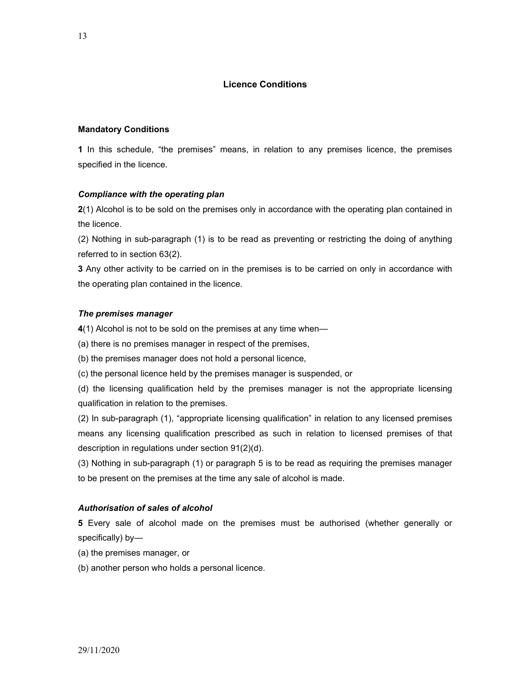### Licence Conditions

#### Mandatory Conditions

1 In this schedule, "the premises" means, in relation to any premises licence, the premises specified in the licence.

#### Compliance with the operating plan

2(1) Alcohol is to be sold on the premises only in accordance with the operating plan contained in the licence.

(2) Nothing in sub-paragraph (1) is to be read as preventing or restricting the doing of anything referred to in section 63(2).

**3** Any other activity to be carried on in the premises is to be carried on only in accordance with the operating plan contained in the licence.

#### The premises manager

4(1) Alcohol is not to be sold on the premises at any time when-

(a) there is no premises manager in respect of the premises,

(b) the premises manager does not hold a personal licence,

(c) the personal licence held by the premises manager is suspended, or

(d) the licensing qualification held by the premises manager is not the appropriate licensing qualification in relation to the premises.

(2) In sub-paragraph (1), "appropriate licensing qualification" in relation to any licensed premises means any licensing qualification prescribed as such in relation to licensed premises of that description in regulations under section 91(2)(d).

(3) Nothing in sub-paragraph (1) or paragraph 5 is to be read as requiring the premises manager to be present on the premises at the time any sale of alcohol is made.

#### Authorisation of sales of alcohol

5 Every sale of alcohol made on the premises must be authorised (whether generally or specifically) by—

- (a) the premises manager, or
- (b) another person who holds a personal licence.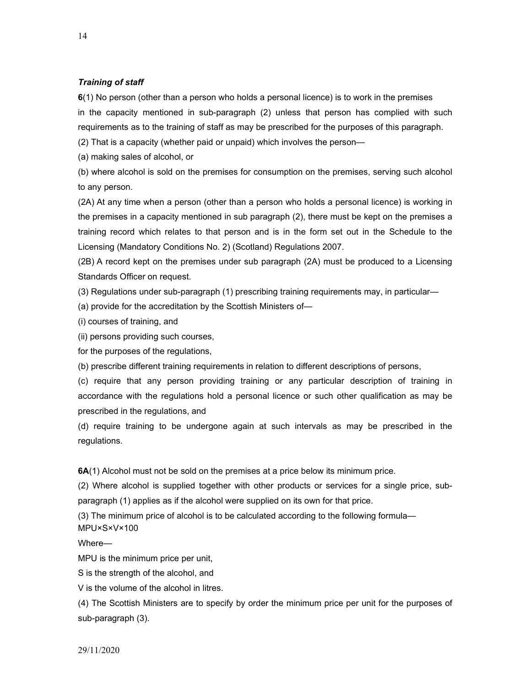#### Training of staff

6(1) No person (other than a person who holds a personal licence) is to work in the premises in the capacity mentioned in sub-paragraph (2) unless that person has complied with such requirements as to the training of staff as may be prescribed for the purposes of this paragraph.

(2) That is a capacity (whether paid or unpaid) which involves the person—

(a) making sales of alcohol, or

(b) where alcohol is sold on the premises for consumption on the premises, serving such alcohol to any person.

(2A) At any time when a person (other than a person who holds a personal licence) is working in the premises in a capacity mentioned in sub paragraph (2), there must be kept on the premises a training record which relates to that person and is in the form set out in the Schedule to the Licensing (Mandatory Conditions No. 2) (Scotland) Regulations 2007.

(2B) A record kept on the premises under sub paragraph (2A) must be produced to a Licensing Standards Officer on request.

(3) Regulations under sub-paragraph (1) prescribing training requirements may, in particular—

(a) provide for the accreditation by the Scottish Ministers of—

(i) courses of training, and

(ii) persons providing such courses,

for the purposes of the regulations,

(b) prescribe different training requirements in relation to different descriptions of persons,

(c) require that any person providing training or any particular description of training in accordance with the regulations hold a personal licence or such other qualification as may be prescribed in the regulations, and

(d) require training to be undergone again at such intervals as may be prescribed in the regulations.

6A(1) Alcohol must not be sold on the premises at a price below its minimum price.

(2) Where alcohol is supplied together with other products or services for a single price, subparagraph (1) applies as if the alcohol were supplied on its own for that price.

(3) The minimum price of alcohol is to be calculated according to the following formula— MPU×S×V×100

Where—

MPU is the minimum price per unit,

S is the strength of the alcohol, and

V is the volume of the alcohol in litres.

(4) The Scottish Ministers are to specify by order the minimum price per unit for the purposes of sub-paragraph (3).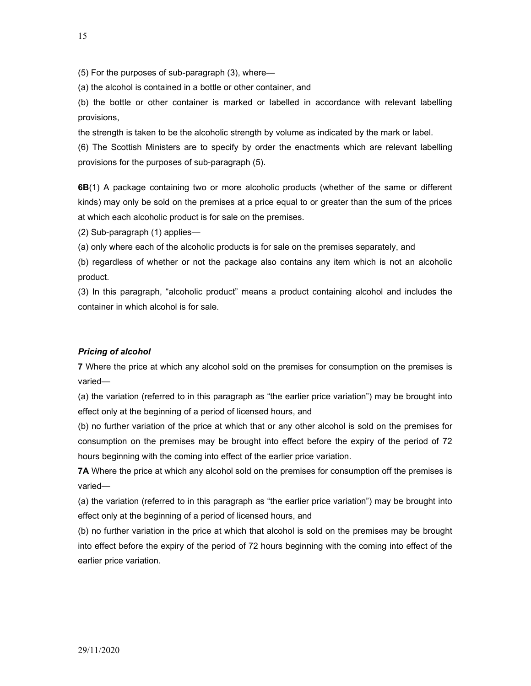(5) For the purposes of sub-paragraph (3), where—

(a) the alcohol is contained in a bottle or other container, and

(b) the bottle or other container is marked or labelled in accordance with relevant labelling provisions,

the strength is taken to be the alcoholic strength by volume as indicated by the mark or label.

(6) The Scottish Ministers are to specify by order the enactments which are relevant labelling provisions for the purposes of sub-paragraph (5).

6B(1) A package containing two or more alcoholic products (whether of the same or different kinds) may only be sold on the premises at a price equal to or greater than the sum of the prices at which each alcoholic product is for sale on the premises.

(2) Sub-paragraph (1) applies—

(a) only where each of the alcoholic products is for sale on the premises separately, and

(b) regardless of whether or not the package also contains any item which is not an alcoholic product.

(3) In this paragraph, "alcoholic product" means a product containing alcohol and includes the container in which alcohol is for sale.

#### Pricing of alcohol

7 Where the price at which any alcohol sold on the premises for consumption on the premises is varied—

(a) the variation (referred to in this paragraph as "the earlier price variation") may be brought into effect only at the beginning of a period of licensed hours, and

(b) no further variation of the price at which that or any other alcohol is sold on the premises for consumption on the premises may be brought into effect before the expiry of the period of 72 hours beginning with the coming into effect of the earlier price variation.

7A Where the price at which any alcohol sold on the premises for consumption off the premises is varied—

(a) the variation (referred to in this paragraph as "the earlier price variation") may be brought into effect only at the beginning of a period of licensed hours, and

(b) no further variation in the price at which that alcohol is sold on the premises may be brought into effect before the expiry of the period of 72 hours beginning with the coming into effect of the earlier price variation.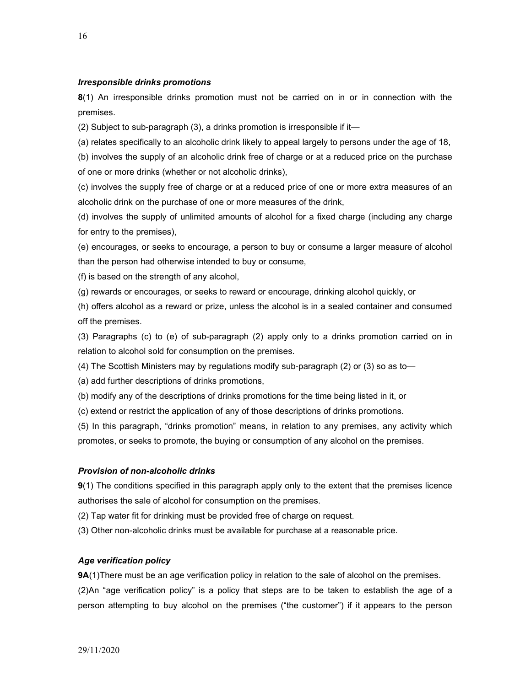#### Irresponsible drinks promotions

8(1) An irresponsible drinks promotion must not be carried on in or in connection with the premises.

(2) Subject to sub-paragraph (3), a drinks promotion is irresponsible if it—

(a) relates specifically to an alcoholic drink likely to appeal largely to persons under the age of 18,

(b) involves the supply of an alcoholic drink free of charge or at a reduced price on the purchase of one or more drinks (whether or not alcoholic drinks),

(c) involves the supply free of charge or at a reduced price of one or more extra measures of an alcoholic drink on the purchase of one or more measures of the drink,

(d) involves the supply of unlimited amounts of alcohol for a fixed charge (including any charge for entry to the premises),

(e) encourages, or seeks to encourage, a person to buy or consume a larger measure of alcohol than the person had otherwise intended to buy or consume,

(f) is based on the strength of any alcohol,

(g) rewards or encourages, or seeks to reward or encourage, drinking alcohol quickly, or

(h) offers alcohol as a reward or prize, unless the alcohol is in a sealed container and consumed off the premises.

(3) Paragraphs (c) to (e) of sub-paragraph (2) apply only to a drinks promotion carried on in relation to alcohol sold for consumption on the premises.

(4) The Scottish Ministers may by regulations modify sub-paragraph (2) or (3) so as to—

(a) add further descriptions of drinks promotions,

(b) modify any of the descriptions of drinks promotions for the time being listed in it, or

(c) extend or restrict the application of any of those descriptions of drinks promotions.

(5) In this paragraph, "drinks promotion" means, in relation to any premises, any activity which promotes, or seeks to promote, the buying or consumption of any alcohol on the premises.

#### Provision of non-alcoholic drinks

9(1) The conditions specified in this paragraph apply only to the extent that the premises licence authorises the sale of alcohol for consumption on the premises.

(2) Tap water fit for drinking must be provided free of charge on request.

(3) Other non-alcoholic drinks must be available for purchase at a reasonable price.

#### Age verification policy

**9A**(1)There must be an age verification policy in relation to the sale of alcohol on the premises. (2)An "age verification policy" is a policy that steps are to be taken to establish the age of a person attempting to buy alcohol on the premises ("the customer") if it appears to the person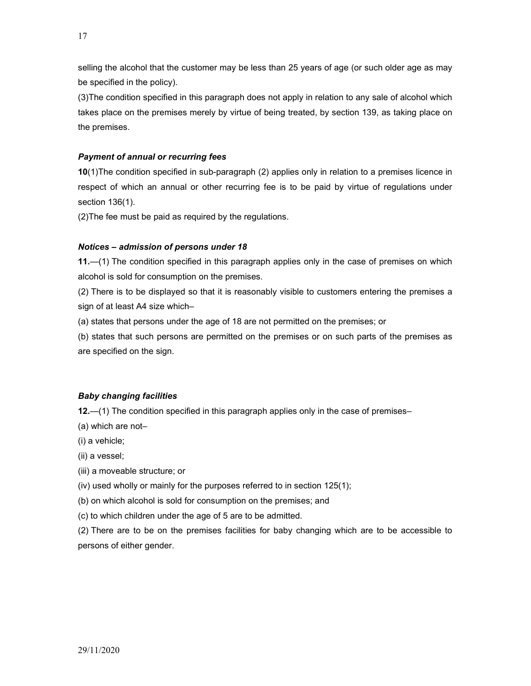selling the alcohol that the customer may be less than 25 years of age (or such older age as may be specified in the policy).

(3)The condition specified in this paragraph does not apply in relation to any sale of alcohol which takes place on the premises merely by virtue of being treated, by section 139, as taking place on the premises.

# Payment of annual or recurring fees

10(1)The condition specified in sub-paragraph (2) applies only in relation to a premises licence in respect of which an annual or other recurring fee is to be paid by virtue of regulations under section 136(1).

(2)The fee must be paid as required by the regulations.

## Notices – admission of persons under 18

11.—(1) The condition specified in this paragraph applies only in the case of premises on which alcohol is sold for consumption on the premises.

(2) There is to be displayed so that it is reasonably visible to customers entering the premises a sign of at least A4 size which–

(a) states that persons under the age of 18 are not permitted on the premises; or

(b) states that such persons are permitted on the premises or on such parts of the premises as are specified on the sign.

## Baby changing facilities

12.—(1) The condition specified in this paragraph applies only in the case of premises–

(a) which are not–

(i) a vehicle;

(ii) a vessel;

(iii) a moveable structure; or

(iv) used wholly or mainly for the purposes referred to in section 125(1);

(b) on which alcohol is sold for consumption on the premises; and

(c) to which children under the age of 5 are to be admitted.

(2) There are to be on the premises facilities for baby changing which are to be accessible to persons of either gender.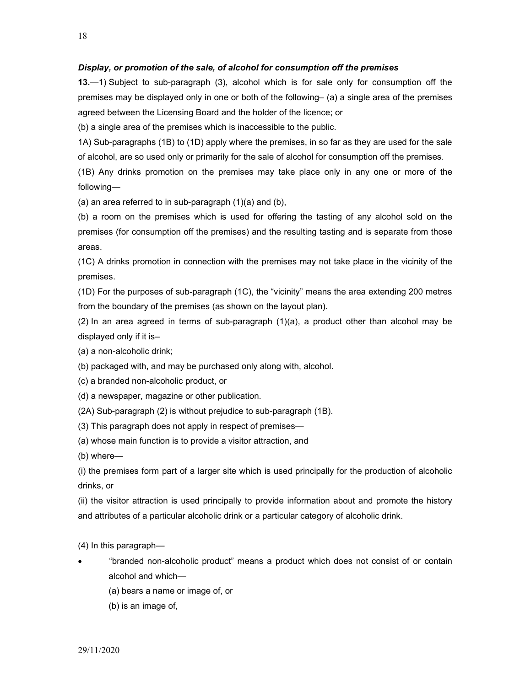#### Display, or promotion of the sale, of alcohol for consumption off the premises

13.—1) Subject to sub-paragraph (3), alcohol which is for sale only for consumption off the premises may be displayed only in one or both of the following– (a) a single area of the premises agreed between the Licensing Board and the holder of the licence; or

(b) a single area of the premises which is inaccessible to the public.

1A) Sub-paragraphs (1B) to (1D) apply where the premises, in so far as they are used for the sale of alcohol, are so used only or primarily for the sale of alcohol for consumption off the premises.

(1B) Any drinks promotion on the premises may take place only in any one or more of the following—

(a) an area referred to in sub-paragraph (1)(a) and (b),

(b) a room on the premises which is used for offering the tasting of any alcohol sold on the premises (for consumption off the premises) and the resulting tasting and is separate from those areas.

(1C) A drinks promotion in connection with the premises may not take place in the vicinity of the premises.

(1D) For the purposes of sub-paragraph (1C), the "vicinity" means the area extending 200 metres from the boundary of the premises (as shown on the layout plan).

(2) In an area agreed in terms of sub-paragraph (1)(a), a product other than alcohol may be displayed only if it is–

(a) a non-alcoholic drink;

(b) packaged with, and may be purchased only along with, alcohol.

(c) a branded non-alcoholic product, or

(d) a newspaper, magazine or other publication.

(2A) Sub-paragraph (2) is without prejudice to sub-paragraph (1B).

(3) This paragraph does not apply in respect of premises—

(a) whose main function is to provide a visitor attraction, and

(b) where—

(i) the premises form part of a larger site which is used principally for the production of alcoholic drinks, or

(ii) the visitor attraction is used principally to provide information about and promote the history and attributes of a particular alcoholic drink or a particular category of alcoholic drink.

(4) In this paragraph—

- "branded non-alcoholic product" means a product which does not consist of or contain alcohol and which—
	- (a) bears a name or image of, or
	- (b) is an image of,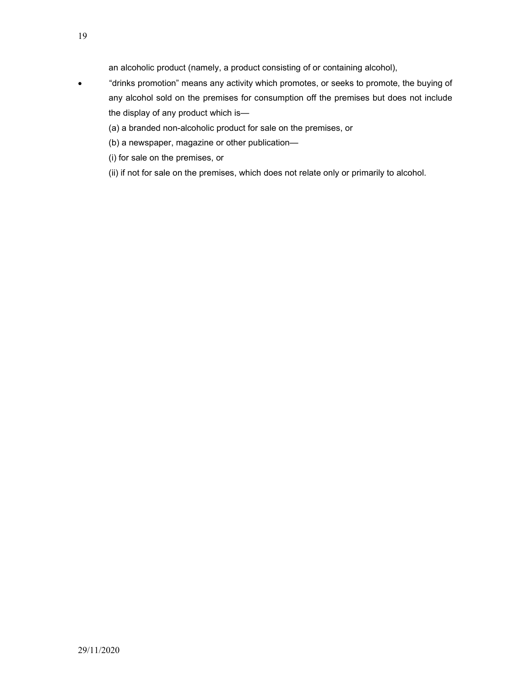an alcoholic product (namely, a product consisting of or containing alcohol),

- "drinks promotion" means any activity which promotes, or seeks to promote, the buying of any alcohol sold on the premises for consumption off the premises but does not include the display of any product which is—
	- (a) a branded non-alcoholic product for sale on the premises, or
	- (b) a newspaper, magazine or other publication—
	- (i) for sale on the premises, or
	- (ii) if not for sale on the premises, which does not relate only or primarily to alcohol.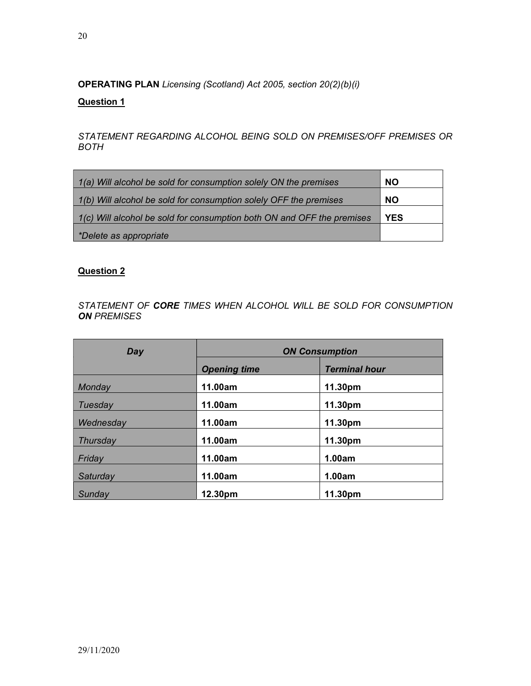OPERATING PLAN Licensing (Scotland) Act 2005, section 20(2)(b)(i)

# Question 1

STATEMENT REGARDING ALCOHOL BEING SOLD ON PREMISES/OFF PREMISES OR BOTH

| 1(a) Will alcohol be sold for consumption solely ON the premises       | <b>NO</b>  |
|------------------------------------------------------------------------|------------|
| 1(b) Will alcohol be sold for consumption solely OFF the premises      | <b>NO</b>  |
| 1(c) Will alcohol be sold for consumption both ON and OFF the premises | <b>YES</b> |
| *Delete as appropriate                                                 |            |

# Question 2

STATEMENT OF CORE TIMES WHEN ALCOHOL WILL BE SOLD FOR CONSUMPTION **ON PREMISES** 

| Day       | <b>ON Consumption</b>                       |         |  |
|-----------|---------------------------------------------|---------|--|
|           | <b>Terminal hour</b><br><b>Opening time</b> |         |  |
| Monday    | 11.00am                                     | 11.30pm |  |
| Tuesday   | 11.00am                                     | 11.30pm |  |
| Wednesday | 11.00am                                     | 11.30pm |  |
| Thursday  | 11.00am                                     | 11.30pm |  |
| Friday    | 11.00am                                     | 1.00am  |  |
| Saturday  | 11.00am                                     | 1.00am  |  |
| Sunday    | 12.30pm                                     | 11.30pm |  |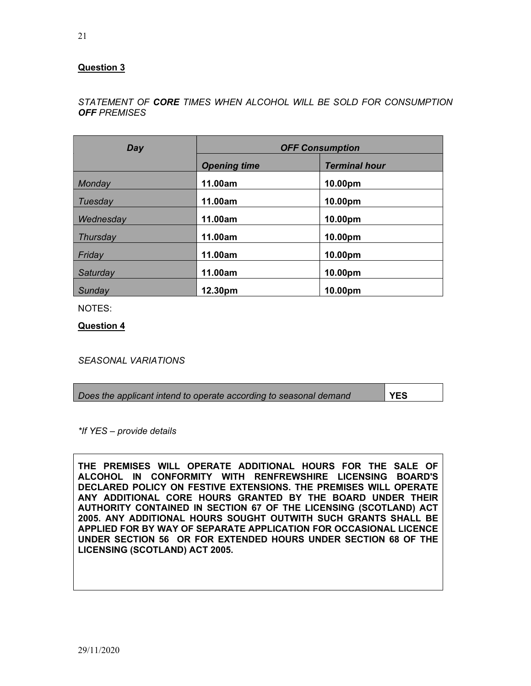# Question 3

# STATEMENT OF CORE TIMES WHEN ALCOHOL WILL BE SOLD FOR CONSUMPTION **OFF PREMISES**

| Day       | <b>OFF Consumption</b>                      |         |
|-----------|---------------------------------------------|---------|
|           | <b>Terminal hour</b><br><b>Opening time</b> |         |
| Monday    | 11.00am                                     | 10.00pm |
| Tuesday   | 11.00am                                     | 10.00pm |
| Wednesday | 11.00am                                     | 10.00pm |
| Thursday  | 11.00am                                     | 10.00pm |
| Friday    | 11.00am                                     | 10.00pm |
| Saturday  | 11.00am                                     | 10.00pm |
| Sunday    | 12.30pm                                     | 10.00pm |

NOTES:

Question 4

SEASONAL VARIATIONS

| Does the applicant intend to operate according to seasonal demand | l YES |
|-------------------------------------------------------------------|-------|
|                                                                   |       |

\*If YES – provide details

THE PREMISES WILL OPERATE ADDITIONAL HOURS FOR THE SALE OF ALCOHOL IN CONFORMITY WITH RENFREWSHIRE LICENSING BOARD'S DECLARED POLICY ON FESTIVE EXTENSIONS. THE PREMISES WILL OPERATE ANY ADDITIONAL CORE HOURS GRANTED BY THE BOARD UNDER THEIR AUTHORITY CONTAINED IN SECTION 67 OF THE LICENSING (SCOTLAND) ACT 2005. ANY ADDITIONAL HOURS SOUGHT OUTWITH SUCH GRANTS SHALL BE APPLIED FOR BY WAY OF SEPARATE APPLICATION FOR OCCASIONAL LICENCE UNDER SECTION 56 OR FOR EXTENDED HOURS UNDER SECTION 68 OF THE LICENSING (SCOTLAND) ACT 2005.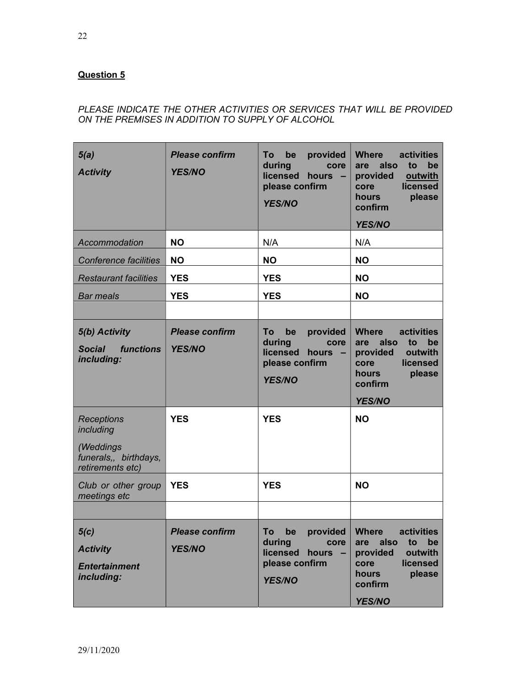# Question 5

# PLEASE INDICATE THE OTHER ACTIVITIES OR SERVICES THAT WILL BE PROVIDED ON THE PREMISES IN ADDITION TO SUPPLY OF ALCOHOL

| 5(a)<br><b>Activity</b>                                          | <b>Please confirm</b><br><b>YES/NO</b> | provided<br>To<br>be<br>during<br>core<br>licensed<br>hours $-$<br>please confirm<br><b>YES/NO</b> | <b>Where</b><br>activities<br>also<br>to<br>be<br>are<br>provided<br>outwith<br>licensed<br>core<br><b>hours</b><br>please<br>confirm<br><b>YES/NO</b> |
|------------------------------------------------------------------|----------------------------------------|----------------------------------------------------------------------------------------------------|--------------------------------------------------------------------------------------------------------------------------------------------------------|
| Accommodation                                                    | <b>NO</b>                              | N/A                                                                                                | N/A                                                                                                                                                    |
| <b>Conference facilities</b>                                     | <b>NO</b>                              | <b>NO</b>                                                                                          | <b>NO</b>                                                                                                                                              |
| <b>Restaurant facilities</b>                                     | <b>YES</b>                             | <b>YES</b>                                                                                         | <b>NO</b>                                                                                                                                              |
| <b>Bar meals</b>                                                 | <b>YES</b>                             | <b>YES</b>                                                                                         | <b>NO</b>                                                                                                                                              |
|                                                                  |                                        |                                                                                                    |                                                                                                                                                        |
| 5(b) Activity<br><b>Social</b><br><i>functions</i><br>including: | <b>Please confirm</b><br><b>YES/NO</b> | provided<br>To<br>be<br>during<br>core<br>licensed<br>hours $-$<br>please confirm<br><b>YES/NO</b> | <b>Where</b><br>activities<br>also<br>be<br>to<br>are<br>outwith<br>provided<br>licensed<br>core<br>hours<br>please<br>confirm<br><b>YES/NO</b>        |
| Receptions<br>including                                          | <b>YES</b>                             | <b>YES</b>                                                                                         | <b>NO</b>                                                                                                                                              |
| (Weddings<br>funerals,, birthdays,<br>retirements etc)           |                                        |                                                                                                    |                                                                                                                                                        |
| Club or other group<br>meetings etc                              | <b>YES</b>                             | <b>YES</b>                                                                                         | <b>NO</b>                                                                                                                                              |
|                                                                  |                                        |                                                                                                    |                                                                                                                                                        |
| 5(c)<br><b>Activity</b><br><b>Entertainment</b><br>including:    | <b>Please confirm</b><br><b>YES/NO</b> | provided<br>be<br>To<br>during<br>core<br>licensed<br>hours -<br>please confirm<br><b>YES/NO</b>   | activities<br><b>Where</b><br>also<br>to<br>be<br>are<br>outwith<br>provided<br>licensed<br>core<br>hours<br>please<br>confirm<br><b>YES/NO</b>        |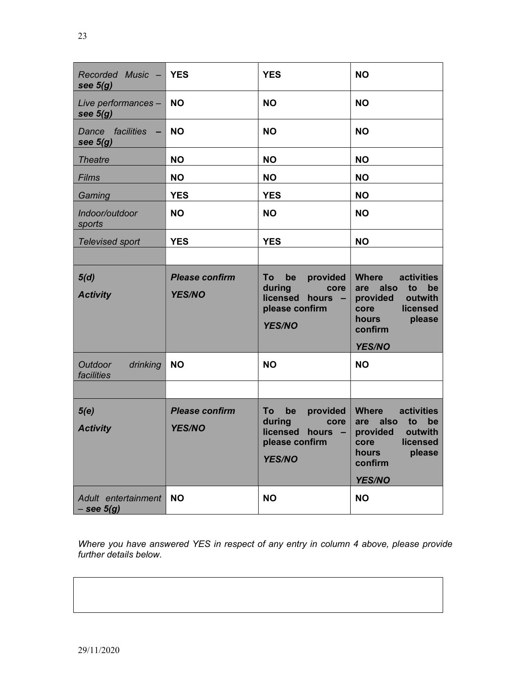| Recorded Music - YES<br>see $5(g)$    |                                        | <b>YES</b>                                                                                       | <b>NO</b>                                                                                                                                       |
|---------------------------------------|----------------------------------------|--------------------------------------------------------------------------------------------------|-------------------------------------------------------------------------------------------------------------------------------------------------|
| Live performances -<br>see $5(g)$     | <b>NO</b>                              | <b>NO</b>                                                                                        | <b>NO</b>                                                                                                                                       |
| facilities<br>Dance<br>see $5(g)$     | <b>NO</b>                              | <b>NO</b>                                                                                        | <b>NO</b>                                                                                                                                       |
| <b>Theatre</b>                        | <b>NO</b>                              | <b>NO</b>                                                                                        | <b>NO</b>                                                                                                                                       |
| <b>Films</b>                          | <b>NO</b>                              | <b>NO</b>                                                                                        | <b>NO</b>                                                                                                                                       |
| Gaming                                | <b>YES</b>                             | <b>YES</b>                                                                                       | <b>NO</b>                                                                                                                                       |
| Indoor/outdoor<br>sports              | <b>NO</b>                              | <b>NO</b>                                                                                        | <b>NO</b>                                                                                                                                       |
| Televised sport                       | <b>YES</b>                             | <b>YES</b>                                                                                       | <b>NO</b>                                                                                                                                       |
|                                       |                                        |                                                                                                  |                                                                                                                                                 |
| 5(d)<br><b>Activity</b>               | <b>Please confirm</b><br><b>YES/NO</b> | To<br>be<br>provided<br>during<br>core<br>licensed<br>hours -<br>please confirm<br><b>YES/NO</b> | <b>Where</b><br>activities<br>also<br>to<br>be<br>are<br>provided<br>outwith<br>licensed<br>core<br>hours<br>please<br>confirm<br><b>YES/NO</b> |
| Outdoor<br>drinking<br>facilities     | <b>NO</b>                              | <b>NO</b>                                                                                        | <b>NO</b>                                                                                                                                       |
|                                       |                                        |                                                                                                  |                                                                                                                                                 |
| 5(e)<br><b>Activity</b>               | <b>Please confirm</b><br><b>YES/NO</b> | To<br>provided<br>be<br>during<br>core<br>licensed hours -<br>please confirm<br><b>YES/NO</b>    | <b>Where</b><br>activities<br>are<br>also<br>to<br>be<br>outwith<br>provided<br>licensed<br>core<br>hours<br>please<br>confirm<br><b>YES/NO</b> |
| Adult entertainment<br>$-$ see $5(g)$ | <b>NO</b>                              | <b>NO</b>                                                                                        | <b>NO</b>                                                                                                                                       |

Where you have answered YES in respect of any entry in column 4 above, please provide further details below.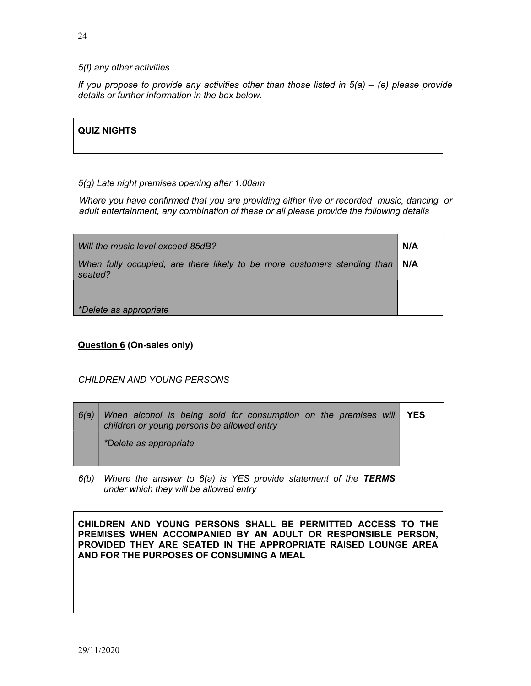### 5(f) any other activities

If you propose to provide any activities other than those listed in  $5(a) - (e)$  please provide details or further information in the box below.

# QUIZ NIGHTS

### 5(g) Late night premises opening after 1.00am

Where you have confirmed that you are providing either live or recorded music, dancing or adult entertainment, any combination of these or all please provide the following details

| Will the music level exceed 85dB?                                                         | N/A |
|-------------------------------------------------------------------------------------------|-----|
| When fully occupied, are there likely to be more customers standing than   N/A<br>seated? |     |
|                                                                                           |     |
| *Delete as appropriate                                                                    |     |

Question 6 (On-sales only)

## CHILDREN AND YOUNG PERSONS

| 6(a) | When alcohol is being sold for consumption on the premises will YES<br>children or young persons be allowed entry |  |
|------|-------------------------------------------------------------------------------------------------------------------|--|
|      | *Delete as appropriate                                                                                            |  |

 $6(b)$  Where the answer to  $6(a)$  is YES provide statement of the TERMS under which they will be allowed entry

CHILDREN AND YOUNG PERSONS SHALL BE PERMITTED ACCESS TO THE PREMISES WHEN ACCOMPANIED BY AN ADULT OR RESPONSIBLE PERSON, PROVIDED THEY ARE SEATED IN THE APPROPRIATE RAISED LOUNGE AREA AND FOR THE PURPOSES OF CONSUMING A MEAL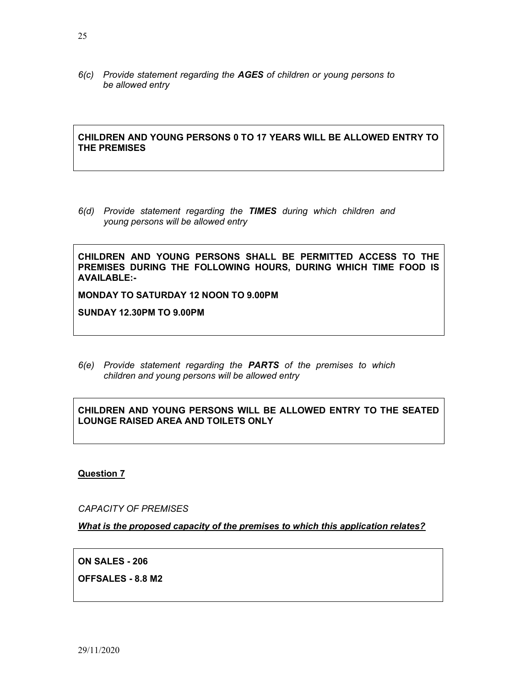6(c) Provide statement regarding the AGES of children or young persons to be allowed entry

CHILDREN AND YOUNG PERSONS 0 TO 17 YEARS WILL BE ALLOWED ENTRY TO THE PREMISES

6(d) Provide statement regarding the TIMES during which children and young persons will be allowed entry

CHILDREN AND YOUNG PERSONS SHALL BE PERMITTED ACCESS TO THE PREMISES DURING THE FOLLOWING HOURS, DURING WHICH TIME FOOD IS AVAILABLE:-

MONDAY TO SATURDAY 12 NOON TO 9.00PM

SUNDAY 12.30PM TO 9.00PM

6(e) Provide statement regarding the PARTS of the premises to which children and young persons will be allowed entry

# CHILDREN AND YOUNG PERSONS WILL BE ALLOWED ENTRY TO THE SEATED LOUNGE RAISED AREA AND TOILETS ONLY

Question 7

CAPACITY OF PREMISES

What is the proposed capacity of the premises to which this application relates?

ON SALES - 206

OFFSALES - 8.8 M2